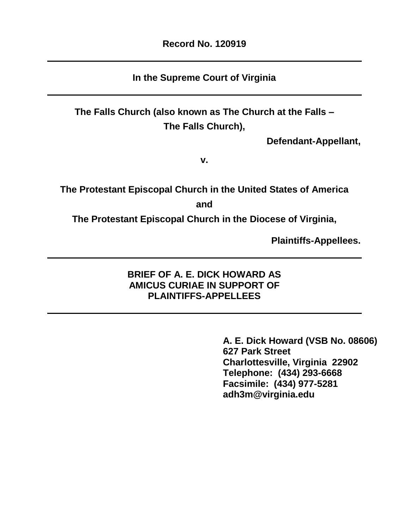# **In the Supreme Court of Virginia**

**The Falls Church (also known as The Church at the Falls – The Falls Church),**

**Defendant-Appellant,**

**v.**

**The Protestant Episcopal Church in the United States of America**

**and**

**The Protestant Episcopal Church in the Diocese of Virginia,**

**Plaintiffs-Appellees.**

# **BRIEF OF A. E. DICK HOWARD AS AMICUS CURIAE IN SUPPORT OF PLAINTIFFS-APPELLEES**

**A. E. Dick Howard (VSB No. 08606) 627 Park Street Charlottesville, Virginia 22902 Telephone: (434) 293-6668 Facsimile: (434) 977-5281 adh3m@virginia.edu**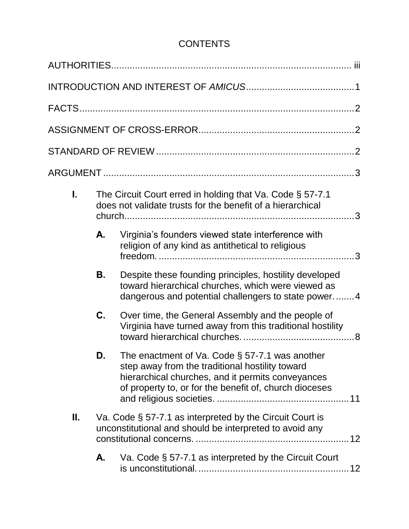# **CONTENTS**

| The Circuit Court erred in holding that Va. Code § 57-7.1<br>L.<br>does not validate trusts for the benefit of a hierarchical |    |                                                                                                                                                                                                                     |  |  |
|-------------------------------------------------------------------------------------------------------------------------------|----|---------------------------------------------------------------------------------------------------------------------------------------------------------------------------------------------------------------------|--|--|
|                                                                                                                               | А. | Virginia's founders viewed state interference with<br>religion of any kind as antithetical to religious                                                                                                             |  |  |
|                                                                                                                               | В. | Despite these founding principles, hostility developed<br>toward hierarchical churches, which were viewed as<br>dangerous and potential challengers to state power4                                                 |  |  |
|                                                                                                                               | C. | Over time, the General Assembly and the people of<br>Virginia have turned away from this traditional hostility                                                                                                      |  |  |
|                                                                                                                               | D. | The enactment of Va. Code $\S$ 57-7.1 was another<br>step away from the traditional hostility toward<br>hierarchical churches, and it permits conveyances<br>of property to, or for the benefit of, church dioceses |  |  |
| Va. Code § 57-7.1 as interpreted by the Circuit Court is<br>Ш.<br>unconstitutional and should be interpreted to avoid any     |    |                                                                                                                                                                                                                     |  |  |
|                                                                                                                               | А. | Va. Code § 57-7.1 as interpreted by the Circuit Court                                                                                                                                                               |  |  |
|                                                                                                                               |    |                                                                                                                                                                                                                     |  |  |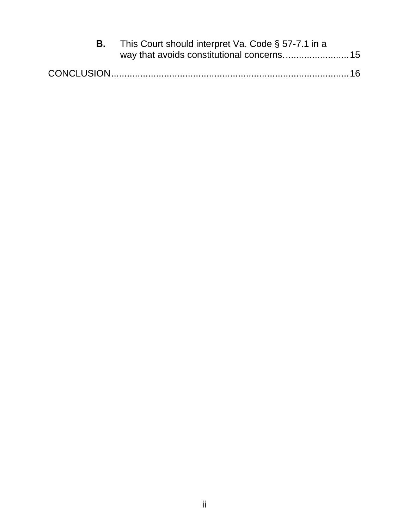| This Court should interpret Va. Code § 57-7.1 in a |  |  |
|----------------------------------------------------|--|--|
|                                                    |  |  |
|                                                    |  |  |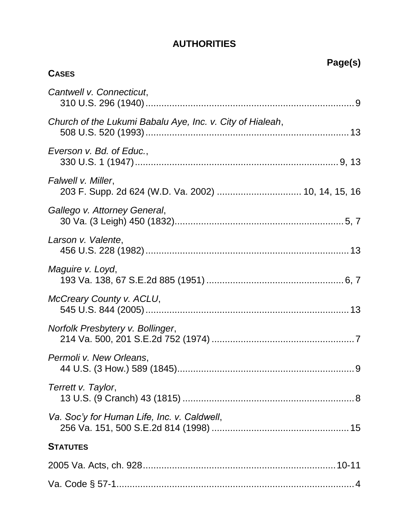# **AUTHORITIES**

<span id="page-3-0"></span>

| <b>CASES</b>                                              | Page(s) |
|-----------------------------------------------------------|---------|
| Cantwell v. Connecticut,                                  |         |
|                                                           |         |
| Church of the Lukumi Babalu Aye, Inc. v. City of Hialeah, |         |
| Everson v. Bd. of Educ.,                                  |         |
| Falwell v. Miller,                                        |         |
| Gallego v. Attorney General,                              |         |
| Larson v. Valente,                                        |         |
| Maguire v. Loyd,                                          |         |
| McCreary County v. ACLU,                                  |         |
| Norfolk Presbytery v. Bollinger,                          |         |
| Permoli v. New Orleans,                                   |         |
| Terrett v. Taylor,                                        |         |
| Va. Soc'y for Human Life, Inc. v. Caldwell,               |         |
| <b>STATUTES</b>                                           |         |
|                                                           |         |
|                                                           |         |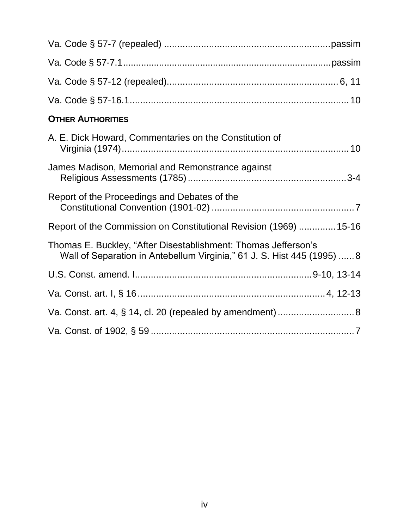| <b>OTHER AUTHORITIES</b>                                                                                                                  |
|-------------------------------------------------------------------------------------------------------------------------------------------|
| A. E. Dick Howard, Commentaries on the Constitution of                                                                                    |
| James Madison, Memorial and Remonstrance against                                                                                          |
| Report of the Proceedings and Debates of the                                                                                              |
| Report of the Commission on Constitutional Revision (1969)  15-16                                                                         |
| Thomas E. Buckley, "After Disestablishment: Thomas Jefferson's<br>Wall of Separation in Antebellum Virginia," 61 J. S. Hist 445 (1995)  8 |
|                                                                                                                                           |
|                                                                                                                                           |
| Va. Const. art. 4, § 14, cl. 20 (repealed by amendment)  8                                                                                |
|                                                                                                                                           |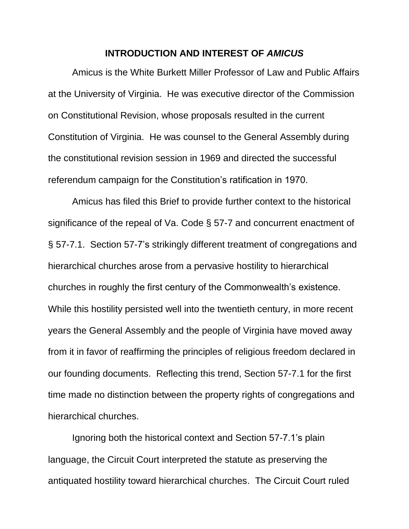#### **INTRODUCTION AND INTEREST OF** *AMICUS*

<span id="page-5-0"></span>Amicus is the White Burkett Miller Professor of Law and Public Affairs at the University of Virginia. He was executive director of the Commission on Constitutional Revision, whose proposals resulted in the current Constitution of Virginia. He was counsel to the General Assembly during the constitutional revision session in 1969 and directed the successful referendum campaign for the Constitution's ratification in 1970.

<span id="page-5-1"></span>Amicus has filed this Brief to provide further context to the historical significance of the repeal of Va. Code § 57-7 and concurrent enactment of § 57-7.1. Section 57-7's strikingly different treatment of congregations and hierarchical churches arose from a pervasive hostility to hierarchical churches in roughly the first century of the Commonwealth's existence. While this hostility persisted well into the twentieth century, in more recent years the General Assembly and the people of Virginia have moved away from it in favor of reaffirming the principles of religious freedom declared in our founding documents. Reflecting this trend, Section 57-7.1 for the first time made no distinction between the property rights of congregations and hierarchical churches.

Ignoring both the historical context and Section 57-7.1's plain language, the Circuit Court interpreted the statute as preserving the antiquated hostility toward hierarchical churches. The Circuit Court ruled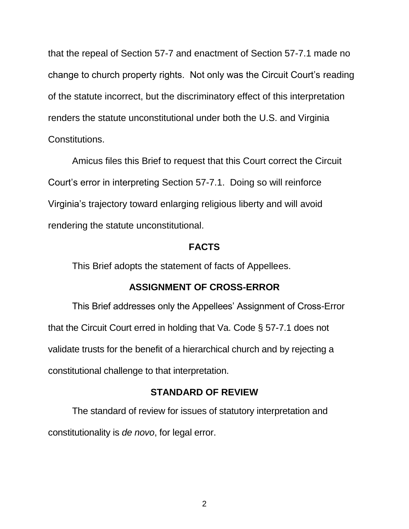that the repeal of Section 57-7 and enactment of Section 57-7.1 made no change to church property rights. Not only was the Circuit Court's reading of the statute incorrect, but the discriminatory effect of this interpretation renders the statute unconstitutional under both the U.S. and Virginia Constitutions.

Amicus files this Brief to request that this Court correct the Circuit Court's error in interpreting Section 57-7.1. Doing so will reinforce Virginia's trajectory toward enlarging religious liberty and will avoid rendering the statute unconstitutional.

#### <span id="page-6-3"></span>**FACTS**

<span id="page-6-0"></span>This Brief adopts the statement of facts of Appellees.

#### **ASSIGNMENT OF CROSS-ERROR**

<span id="page-6-1"></span>This Brief addresses only the Appellees' Assignment of Cross-Error that the Circuit Court erred in holding that Va. Code § 57-7.1 does not validate trusts for the benefit of a hierarchical church and by rejecting a constitutional challenge to that interpretation.

#### **STANDARD OF REVIEW**

<span id="page-6-2"></span>The standard of review for issues of statutory interpretation and constitutionality is *de novo*, for legal error.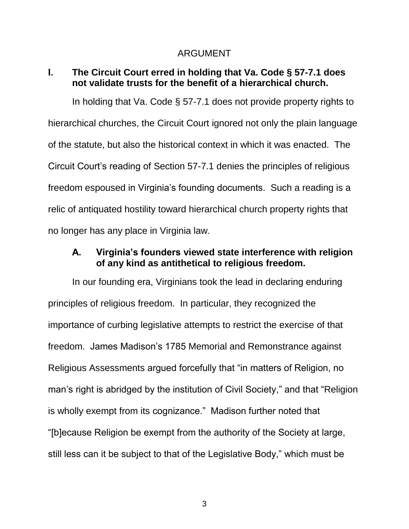#### ARGUMENT

#### <span id="page-7-1"></span><span id="page-7-0"></span>**I. The Circuit Court erred in holding that Va. Code § 57-7.1 does not validate trusts for the benefit of a hierarchical church.**

In holding that Va. Code § 57-7.1 does not provide property rights to hierarchical churches, the Circuit Court ignored not only the plain language of the statute, but also the historical context in which it was enacted. The Circuit Court's reading of Section 57-7.1 denies the principles of religious freedom espoused in Virginia's founding documents. Such a reading is a relic of antiquated hostility toward hierarchical church property rights that no longer has any place in Virginia law.

## <span id="page-7-2"></span>**A. Virginia's founders viewed state interference with religion of any kind as antithetical to religious freedom.**

In our founding era, Virginians took the lead in declaring enduring principles of religious freedom. In particular, they recognized the importance of curbing legislative attempts to restrict the exercise of that freedom. James Madison's 1785 Memorial and Remonstrance against Religious Assessments argued forcefully that "in matters of Religion, no man's right is abridged by the institution of Civil Society," and that "Religion is wholly exempt from its cognizance." Madison further noted that "[b]ecause Religion be exempt from the authority of the Society at large, still less can it be subject to that of the Legislative Body," which must be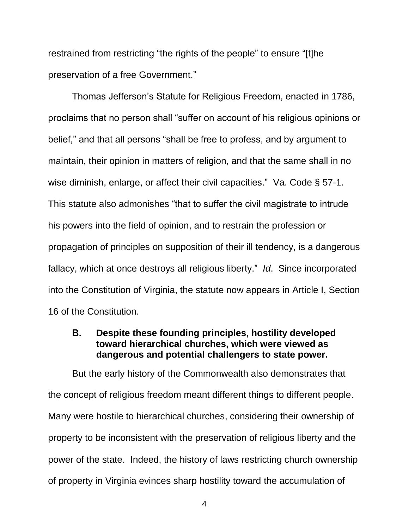restrained from restricting "the rights of the people" to ensure "[t]he preservation of a free Government."

<span id="page-8-1"></span>Thomas Jefferson's Statute for Religious Freedom, enacted in 1786, proclaims that no person shall "suffer on account of his religious opinions or belief," and that all persons "shall be free to profess, and by argument to maintain, their opinion in matters of religion, and that the same shall in no wise diminish, enlarge, or affect their civil capacities." Va. Code § 57-1. This statute also admonishes "that to suffer the civil magistrate to intrude his powers into the field of opinion, and to restrain the profession or propagation of principles on supposition of their ill tendency, is a dangerous fallacy, which at once destroys all religious liberty." *Id*. Since incorporated into the Constitution of Virginia, the statute now appears in Article I, Section 16 of the Constitution.

### <span id="page-8-0"></span>**B. Despite these founding principles, hostility developed toward hierarchical churches, which were viewed as dangerous and potential challengers to state power.**

But the early history of the Commonwealth also demonstrates that the concept of religious freedom meant different things to different people. Many were hostile to hierarchical churches, considering their ownership of property to be inconsistent with the preservation of religious liberty and the power of the state. Indeed, the history of laws restricting church ownership of property in Virginia evinces sharp hostility toward the accumulation of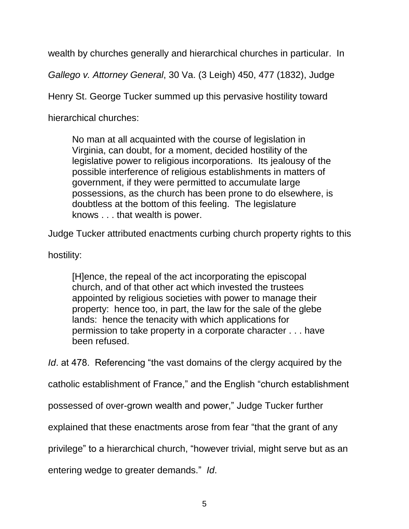wealth by churches generally and hierarchical churches in particular. In

<span id="page-9-0"></span>*Gallego v. Attorney General*, 30 Va. (3 Leigh) 450, 477 (1832), Judge

Henry St. George Tucker summed up this pervasive hostility toward

hierarchical churches:

No man at all acquainted with the course of legislation in Virginia, can doubt, for a moment, decided hostility of the legislative power to religious incorporations. Its jealousy of the possible interference of religious establishments in matters of government, if they were permitted to accumulate large possessions, as the church has been prone to do elsewhere, is doubtless at the bottom of this feeling. The legislature knows . . . that wealth is power.

Judge Tucker attributed enactments curbing church property rights to this

hostility:

[H]ence, the repeal of the act incorporating the episcopal church, and of that other act which invested the trustees appointed by religious societies with power to manage their property: hence too, in part, the law for the sale of the glebe lands: hence the tenacity with which applications for permission to take property in a corporate character . . . have been refused.

*Id*. at 478. Referencing "the vast domains of the clergy acquired by the

catholic establishment of France," and the English "church establishment

possessed of over-grown wealth and power," Judge Tucker further

explained that these enactments arose from fear "that the grant of any

privilege" to a hierarchical church, "however trivial, might serve but as an

entering wedge to greater demands." *Id*.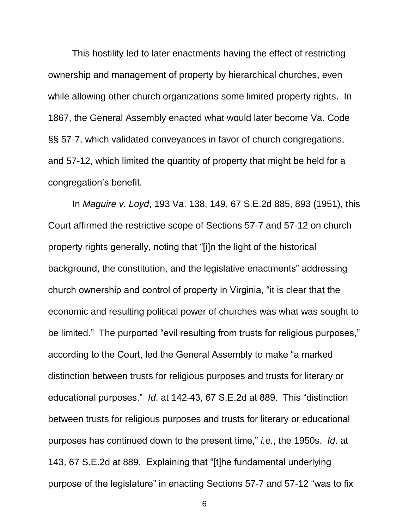This hostility led to later enactments having the effect of restricting ownership and management of property by hierarchical churches, even while allowing other church organizations some limited property rights. In 1867, the General Assembly enacted what would later become Va. Code §§ 57-7, which validated conveyances in favor of church congregations, and 57-12, which limited the quantity of property that might be held for a congregation's benefit.

<span id="page-10-0"></span>In *Maguire v. Loyd*, 193 Va. 138, 149, 67 S.E.2d 885, 893 (1951), this Court affirmed the restrictive scope of Sections 57-7 and 57-12 on church property rights generally, noting that "[i]n the light of the historical background, the constitution, and the legislative enactments" addressing church ownership and control of property in Virginia, "it is clear that the economic and resulting political power of churches was what was sought to be limited." The purported "evil resulting from trusts for religious purposes," according to the Court, led the General Assembly to make "a marked distinction between trusts for religious purposes and trusts for literary or educational purposes." *Id*. at 142-43, 67 S.E.2d at 889. This "distinction between trusts for religious purposes and trusts for literary or educational purposes has continued down to the present time," *i.e.*, the 1950s. *Id*. at 143, 67 S.E.2d at 889. Explaining that "[t]he fundamental underlying purpose of the legislature" in enacting Sections 57-7 and 57-12 "was to fix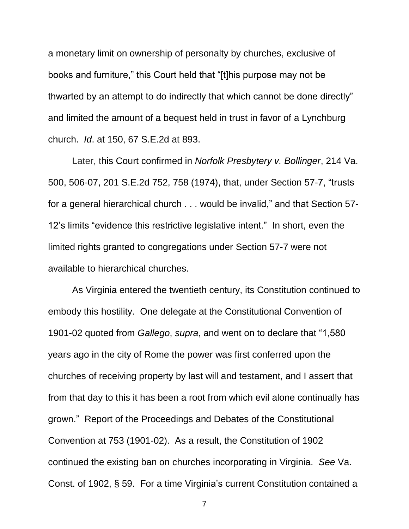a monetary limit on ownership of personalty by churches, exclusive of books and furniture," this Court held that "[t]his purpose may not be thwarted by an attempt to do indirectly that which cannot be done directly" and limited the amount of a bequest held in trust in favor of a Lynchburg church. *Id*. at 150, 67 S.E.2d at 893.

<span id="page-11-2"></span><span id="page-11-1"></span>Later, this Court confirmed in *Norfolk Presbytery v. Bollinger*, 214 Va. 500, 506-07, 201 S.E.2d 752, 758 (1974), that, under Section 57-7, "trusts for a general hierarchical church . . . would be invalid," and that Section 57- 12's limits "evidence this restrictive legislative intent." In short, even the limited rights granted to congregations under Section 57-7 were not available to hierarchical churches.

<span id="page-11-3"></span><span id="page-11-0"></span>As Virginia entered the twentieth century, its Constitution continued to embody this hostility. One delegate at the Constitutional Convention of 1901-02 quoted from *Gallego*, *supra*, and went on to declare that "1,580 years ago in the city of Rome the power was first conferred upon the churches of receiving property by last will and testament, and I assert that from that day to this it has been a root from which evil alone continually has grown." Report of the Proceedings and Debates of the Constitutional Convention at 753 (1901-02). As a result, the Constitution of 1902 continued the existing ban on churches incorporating in Virginia. *See* Va. Const. of 1902, § 59. For a time Virginia's current Constitution contained a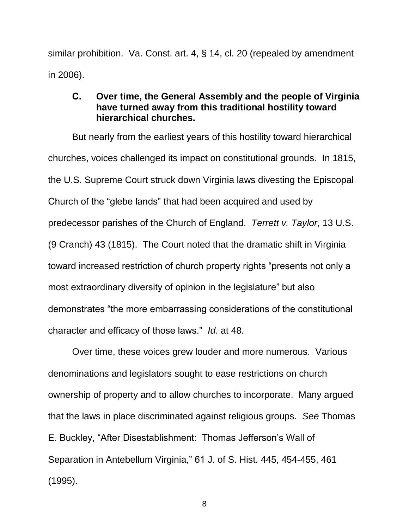similar prohibition. Va. Const. art. 4, § 14, cl. 20 (repealed by amendment in 2006).

### <span id="page-12-1"></span><span id="page-12-0"></span>**C. Over time, the General Assembly and the people of Virginia have turned away from this traditional hostility toward hierarchical churches.**

But nearly from the earliest years of this hostility toward hierarchical churches, voices challenged its impact on constitutional grounds. In 1815, the U.S. Supreme Court struck down Virginia laws divesting the Episcopal Church of the "glebe lands" that had been acquired and used by predecessor parishes of the Church of England. *Terrett v. Taylor*, 13 U.S. (9 Cranch) 43 (1815). The Court noted that the dramatic shift in Virginia toward increased restriction of church property rights "presents not only a most extraordinary diversity of opinion in the legislature" but also demonstrates "the more embarrassing considerations of the constitutional character and efficacy of those laws." *Id*. at 48.

<span id="page-12-2"></span>Over time, these voices grew louder and more numerous. Various denominations and legislators sought to ease restrictions on church ownership of property and to allow churches to incorporate. Many argued that the laws in place discriminated against religious groups. *See* Thomas E. Buckley, "After Disestablishment: Thomas Jefferson's Wall of Separation in Antebellum Virginia," 61 J. of S. Hist. 445, 454-455, 461 (1995).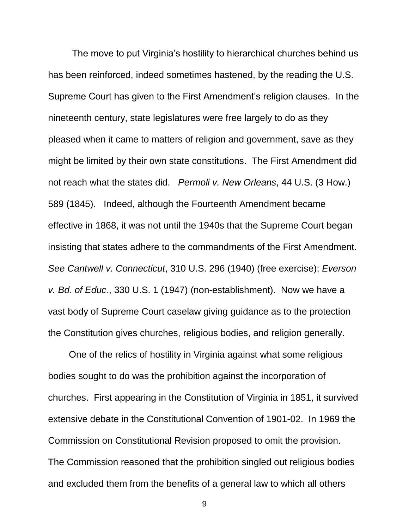<span id="page-13-2"></span>The move to put Virginia's hostility to hierarchical churches behind us has been reinforced, indeed sometimes hastened, by the reading the U.S. Supreme Court has given to the First Amendment's religion clauses. In the nineteenth century, state legislatures were free largely to do as they pleased when it came to matters of religion and government, save as they might be limited by their own state constitutions. The First Amendment did not reach what the states did. *Permoli v. New Orleans*, 44 U.S. (3 How.) 589 (1845). Indeed, although the Fourteenth Amendment became effective in 1868, it was not until the 1940s that the Supreme Court began insisting that states adhere to the commandments of the First Amendment. *See Cantwell v. Connecticut*, 310 U.S. 296 (1940) (free exercise); *Everson v. Bd. of Educ.*, 330 U.S. 1 (1947) (non-establishment). Now we have a vast body of Supreme Court caselaw giving guidance as to the protection the Constitution gives churches, religious bodies, and religion generally.

<span id="page-13-1"></span><span id="page-13-0"></span> One of the relics of hostility in Virginia against what some religious bodies sought to do was the prohibition against the incorporation of churches. First appearing in the Constitution of Virginia in 1851, it survived extensive debate in the Constitutional Convention of 1901-02. In 1969 the Commission on Constitutional Revision proposed to omit the provision. The Commission reasoned that the prohibition singled out religious bodies and excluded them from the benefits of a general law to which all others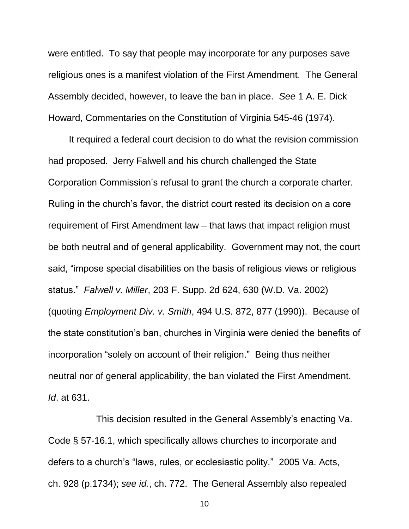were entitled. To say that people may incorporate for any purposes save religious ones is a manifest violation of the First Amendment. The General Assembly decided, however, to leave the ban in place. *See* 1 A. E. Dick Howard, Commentaries on the Constitution of Virginia 545-46 (1974).

 It required a federal court decision to do what the revision commission had proposed. Jerry Falwell and his church challenged the State Corporation Commission's refusal to grant the church a corporate charter. Ruling in the church's favor, the district court rested its decision on a core requirement of First Amendment law – that laws that impact religion must be both neutral and of general applicability. Government may not, the court said, "impose special disabilities on the basis of religious views or religious status." *Falwell v. Miller*, 203 F. Supp. 2d 624, 630 (W.D. Va. 2002) (quoting *Employment Div. v. Smith*, 494 U.S. 872, 877 (1990)). Because of the state constitution's ban, churches in Virginia were denied the benefits of incorporation "solely on account of their religion." Being thus neither neutral nor of general applicability, the ban violated the First Amendment. *Id*. at 631.

<span id="page-14-1"></span><span id="page-14-0"></span>This decision resulted in the General Assembly's enacting Va. Code § 57-16.1, which specifically allows churches to incorporate and defers to a church's "laws, rules, or ecclesiastic polity." 2005 Va. Acts, ch. 928 (p.1734); *see id.*, ch. 772. The General Assembly also repealed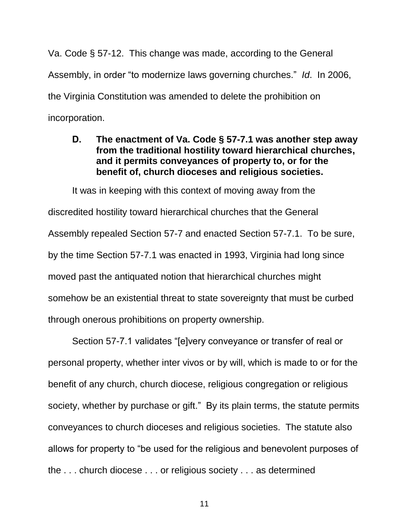<span id="page-15-1"></span>Va. Code § 57-12. This change was made, according to the General Assembly, in order "to modernize laws governing churches." *Id*. In 2006, the Virginia Constitution was amended to delete the prohibition on incorporation.

### <span id="page-15-0"></span>**D. The enactment of Va. Code § 57-7.1 was another step away from the traditional hostility toward hierarchical churches, and it permits conveyances of property to, or for the benefit of, church dioceses and religious societies.**

It was in keeping with this context of moving away from the discredited hostility toward hierarchical churches that the General Assembly repealed Section 57-7 and enacted Section 57-7.1. To be sure, by the time Section 57-7.1 was enacted in 1993, Virginia had long since moved past the antiquated notion that hierarchical churches might somehow be an existential threat to state sovereignty that must be curbed through onerous prohibitions on property ownership.

Section 57-7.1 validates "[e]very conveyance or transfer of real or personal property, whether inter vivos or by will, which is made to or for the benefit of any church, church diocese, religious congregation or religious society, whether by purchase or gift." By its plain terms, the statute permits conveyances to church dioceses and religious societies. The statute also allows for property to "be used for the religious and benevolent purposes of the . . . church diocese . . . or religious society . . . as determined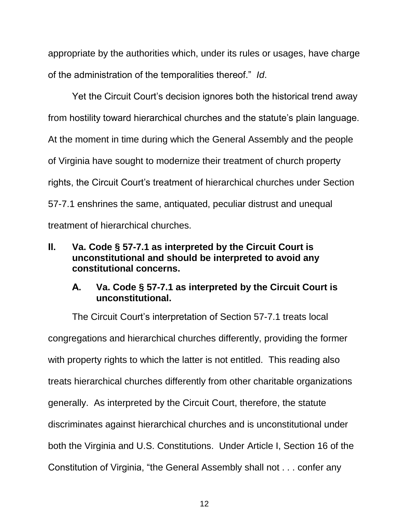appropriate by the authorities which, under its rules or usages, have charge of the administration of the temporalities thereof." *Id*.

Yet the Circuit Court's decision ignores both the historical trend away from hostility toward hierarchical churches and the statute's plain language. At the moment in time during which the General Assembly and the people of Virginia have sought to modernize their treatment of church property rights, the Circuit Court's treatment of hierarchical churches under Section 57-7.1 enshrines the same, antiquated, peculiar distrust and unequal treatment of hierarchical churches.

# <span id="page-16-0"></span>**II. Va. Code § 57-7.1 as interpreted by the Circuit Court is unconstitutional and should be interpreted to avoid any constitutional concerns.**

# <span id="page-16-1"></span>**A. Va. Code § 57-7.1 as interpreted by the Circuit Court is unconstitutional.**

The Circuit Court's interpretation of Section 57-7.1 treats local congregations and hierarchical churches differently, providing the former with property rights to which the latter is not entitled. This reading also treats hierarchical churches differently from other charitable organizations generally. As interpreted by the Circuit Court, therefore, the statute discriminates against hierarchical churches and is unconstitutional under both the Virginia and U.S. Constitutions. Under Article I, Section 16 of the Constitution of Virginia, "the General Assembly shall not . . . confer any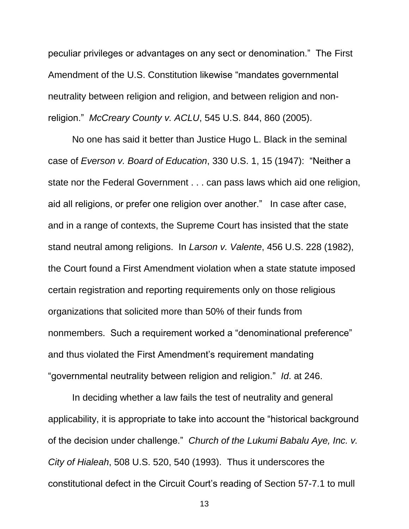<span id="page-17-4"></span>peculiar privileges or advantages on any sect or denomination." The First Amendment of the U.S. Constitution likewise "mandates governmental neutrality between religion and religion, and between religion and nonreligion." *McCreary County v. ACLU*, 545 U.S. 844, 860 (2005).

<span id="page-17-3"></span><span id="page-17-2"></span><span id="page-17-1"></span>No one has said it better than Justice Hugo L. Black in the seminal case of *Everson v. Board of Education*, 330 U.S. 1, 15 (1947): "Neither a state nor the Federal Government . . . can pass laws which aid one religion, aid all religions, or prefer one religion over another." In case after case, and in a range of contexts, the Supreme Court has insisted that the state stand neutral among religions. In *Larson v. Valente*, 456 U.S. 228 (1982), the Court found a First Amendment violation when a state statute imposed certain registration and reporting requirements only on those religious organizations that solicited more than 50% of their funds from nonmembers. Such a requirement worked a "denominational preference" and thus violated the First Amendment's requirement mandating "governmental neutrality between religion and religion." *Id*. at 246.

<span id="page-17-0"></span>In deciding whether a law fails the test of neutrality and general applicability, it is appropriate to take into account the "historical background of the decision under challenge." *Church of the Lukumi Babalu Aye, Inc. v. City of Hialeah*, 508 U.S. 520, 540 (1993). Thus it underscores the constitutional defect in the Circuit Court's reading of Section 57-7.1 to mull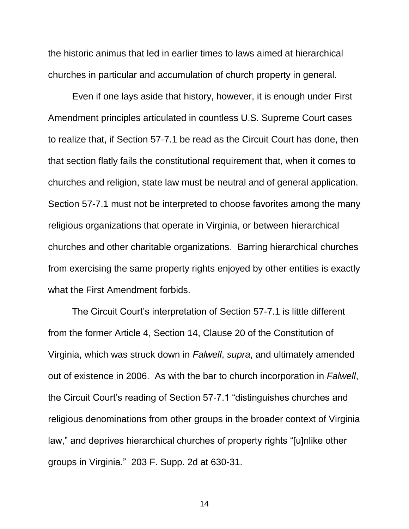the historic animus that led in earlier times to laws aimed at hierarchical churches in particular and accumulation of church property in general.

Even if one lays aside that history, however, it is enough under First Amendment principles articulated in countless U.S. Supreme Court cases to realize that, if Section 57-7.1 be read as the Circuit Court has done, then that section flatly fails the constitutional requirement that, when it comes to churches and religion, state law must be neutral and of general application. Section 57-7.1 must not be interpreted to choose favorites among the many religious organizations that operate in Virginia, or between hierarchical churches and other charitable organizations. Barring hierarchical churches from exercising the same property rights enjoyed by other entities is exactly what the First Amendment forbids.

<span id="page-18-1"></span><span id="page-18-0"></span>The Circuit Court's interpretation of Section 57-7.1 is little different from the former Article 4, Section 14, Clause 20 of the Constitution of Virginia, which was struck down in *Falwell*, *supra*, and ultimately amended out of existence in 2006. As with the bar to church incorporation in *Falwell*, the Circuit Court's reading of Section 57-7.1 "distinguishes churches and religious denominations from other groups in the broader context of Virginia law," and deprives hierarchical churches of property rights "[u]nlike other groups in Virginia." 203 F. Supp. 2d at 630-31.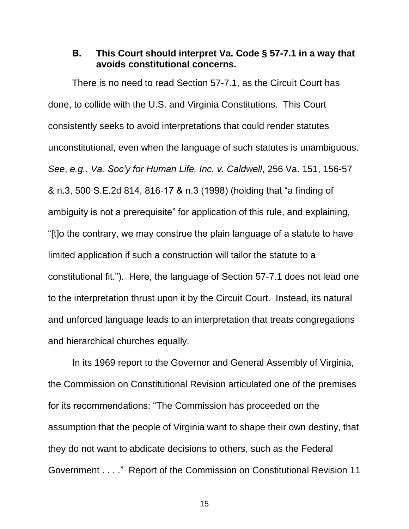#### <span id="page-19-0"></span>**B. This Court should interpret Va. Code § 57-7.1 in a way that avoids constitutional concerns.**

<span id="page-19-1"></span>There is no need to read Section 57-7.1, as the Circuit Court has done, to collide with the U.S. and Virginia Constitutions. This Court consistently seeks to avoid interpretations that could render statutes unconstitutional, even when the language of such statutes is unambiguous. *See*, *e.g.*, *Va. Soc'y for Human Life, Inc. v. Caldwell*, 256 Va. 151, 156-57 & n.3, 500 S.E.2d 814, 816-17 & n.3 (1998) (holding that "a finding of ambiguity is not a prerequisite" for application of this rule, and explaining, "[t]o the contrary, we may construe the plain language of a statute to have limited application if such a construction will tailor the statute to a constitutional fit."). Here, the language of Section 57-7.1 does not lead one to the interpretation thrust upon it by the Circuit Court. Instead, its natural and unforced language leads to an interpretation that treats congregations and hierarchical churches equally.

<span id="page-19-2"></span>In its 1969 report to the Governor and General Assembly of Virginia, the Commission on Constitutional Revision articulated one of the premises for its recommendations: "The Commission has proceeded on the assumption that the people of Virginia want to shape their own destiny, that they do not want to abdicate decisions to others, such as the Federal Government . . . ." Report of the Commission on Constitutional Revision 11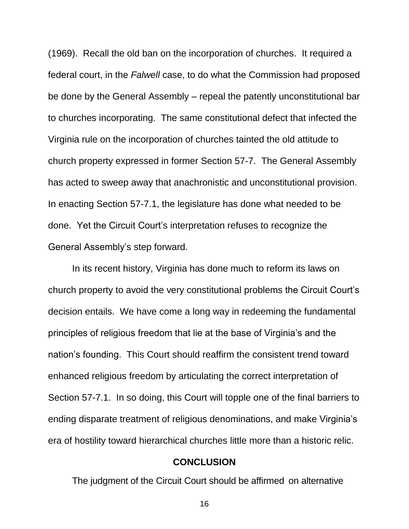<span id="page-20-1"></span>(1969). Recall the old ban on the incorporation of churches. It required a federal court, in the *Falwell* case, to do what the Commission had proposed be done by the General Assembly – repeal the patently unconstitutional bar to churches incorporating. The same constitutional defect that infected the Virginia rule on the incorporation of churches tainted the old attitude to church property expressed in former Section 57-7. The General Assembly has acted to sweep away that anachronistic and unconstitutional provision. In enacting Section 57-7.1, the legislature has done what needed to be done. Yet the Circuit Court's interpretation refuses to recognize the General Assembly's step forward.

In its recent history, Virginia has done much to reform its laws on church property to avoid the very constitutional problems the Circuit Court's decision entails. We have come a long way in redeeming the fundamental principles of religious freedom that lie at the base of Virginia's and the nation's founding. This Court should reaffirm the consistent trend toward enhanced religious freedom by articulating the correct interpretation of Section 57-7.1. In so doing, this Court will topple one of the final barriers to ending disparate treatment of religious denominations, and make Virginia's era of hostility toward hierarchical churches little more than a historic relic.

#### **CONCLUSION**

<span id="page-20-0"></span>The judgment of the Circuit Court should be affirmed on alternative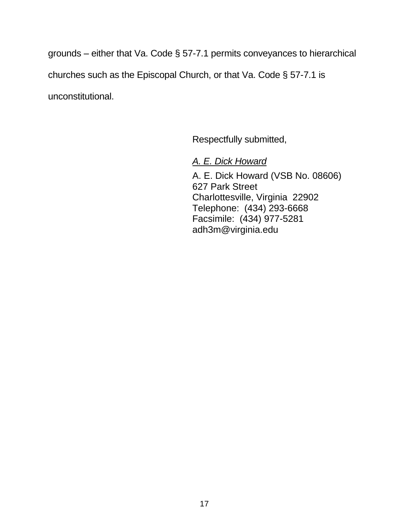grounds – either that Va. Code § 57-7.1 permits conveyances to hierarchical churches such as the Episcopal Church, or that Va. Code § 57-7.1 is unconstitutional.

Respectfully submitted,

*A. E. Dick Howard*

A. E. Dick Howard (VSB No. 08606) 627 Park Street Charlottesville, Virginia 22902 Telephone: (434) 293-6668 Facsimile: (434) 977-5281 adh3m@virginia.edu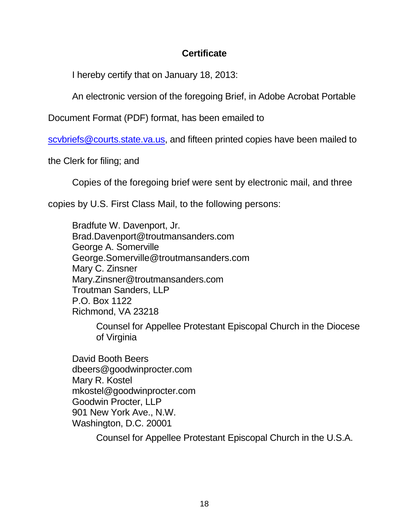# **Certificate**

I hereby certify that on January 18, 2013:

An electronic version of the foregoing Brief, in Adobe Acrobat Portable

Document Format (PDF) format, has been emailed to

[scvbriefs@courts.state.va.us,](mailto:scvbriefs@courts.state.va.us) and fifteen printed copies have been mailed to

the Clerk for filing; and

Copies of the foregoing brief were sent by electronic mail, and three

copies by U.S. First Class Mail, to the following persons:

Bradfute W. Davenport, Jr. Brad.Davenport@troutmansanders.com George A. Somerville [George.Somerville@troutmansanders.com](mailto:George.Somerville@troutmansanders.com) Mary C. Zinsner Mary.Zinsner@troutmansanders.com Troutman Sanders, LLP P.O. Box 1122 Richmond, VA 23218

Counsel for Appellee Protestant Episcopal Church in the Diocese of Virginia

David Booth Beers dbeers@goodwinprocter.com Mary R. Kostel [mkostel@goodwinprocter.com](mailto:mkostel@goodwinprocter.com) Goodwin Procter, LLP 901 New York Ave., N.W. Washington, D.C. 20001

Counsel for Appellee Protestant Episcopal Church in the U.S.A.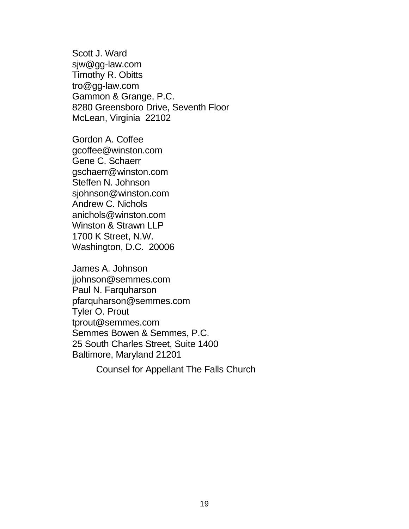Scott J. Ward sjw@gg-law.com Timothy R. Obitts tro@gg-law.com Gammon & Grange, P.C. 8280 Greensboro Drive, Seventh Floor McLean, Virginia 22102

Gordon A. Coffee gcoffee@winston.com Gene C. Schaerr gschaerr@winston.com Steffen N. Johnson sjohnson@winston.com Andrew C. Nichols anichols@winston.com Winston & Strawn LLP 1700 K Street, N.W. Washington, D.C. 20006

James A. Johnson jjohnson@semmes.com Paul N. Farquharson pfarquharson@semmes.com Tyler O. Prout [tprout@semmes.com](mailto:tprout@semmes.com) Semmes Bowen & Semmes, P.C. 25 South Charles Street, Suite 1400 Baltimore, Maryland 21201

Counsel for Appellant The Falls Church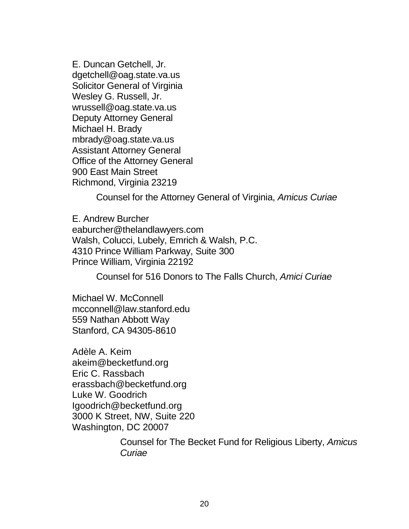E. Duncan Getchell, Jr. dgetchell@oag.state.va.us Solicitor General of Virginia Wesley G. Russell, Jr. wrussell@oag.state.va.us Deputy Attorney General Michael H. Brady mbrady@oag.state.va.us Assistant Attorney General Office of the Attorney General 900 East Main Street Richmond, Virginia 23219

Counsel for the Attorney General of Virginia, *Amicus Curiae*

E. Andrew Burcher eaburcher@thelandlawyers.com Walsh, Colucci, Lubely, Emrich & Walsh, P.C. 4310 Prince William Parkway, Suite 300 Prince William, Virginia 22192

Counsel for 516 Donors to The Falls Church, *Amici Curiae*

Michael W. McConnell mcconnell@law.stanford.edu 559 Nathan Abbott Way Stanford, CA 94305-8610

Adèle A. Keim akeim@becketfund.org Eric C. Rassbach erassbach@becketfund.org Luke W. Goodrich Igoodrich@becketfund.org 3000 K Street, NW, Suite 220 Washington, DC 20007

> Counsel for The Becket Fund for Religious Liberty, *Amicus Curiae*